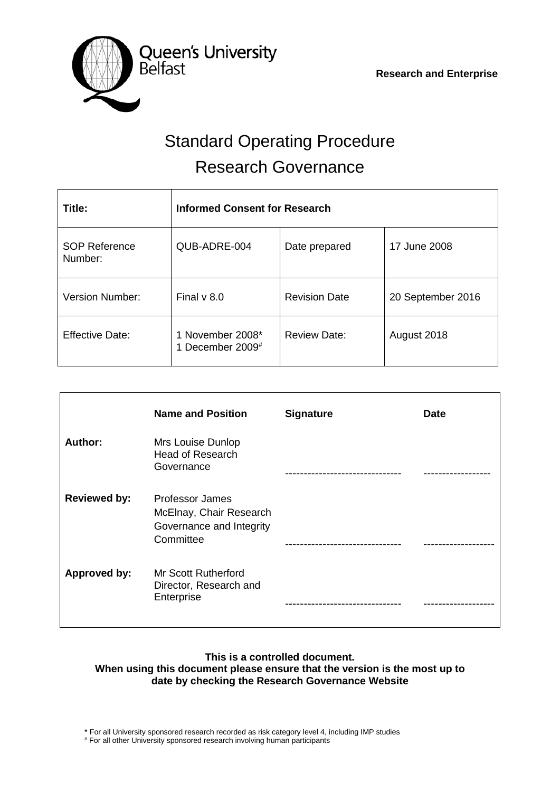

# Standard Operating Procedure Research Governance

| Title:                          | <b>Informed Consent for Research</b> |                      |                   |  |  |
|---------------------------------|--------------------------------------|----------------------|-------------------|--|--|
| <b>SOP Reference</b><br>Number: | QUB-ADRE-004                         | Date prepared        | 17 June 2008      |  |  |
| <b>Version Number:</b>          | Final $v$ 8.0                        | <b>Revision Date</b> | 20 September 2016 |  |  |
| <b>Effective Date:</b>          | 1 November 2008*<br>1 December 2009# | <b>Review Date:</b>  | August 2018       |  |  |

|                     | <b>Name and Position</b>                                                                   | <b>Signature</b> | <b>Date</b> |
|---------------------|--------------------------------------------------------------------------------------------|------------------|-------------|
| Author:             | Mrs Louise Dunlop<br><b>Head of Research</b><br>Governance                                 |                  |             |
| <b>Reviewed by:</b> | <b>Professor James</b><br>McElnay, Chair Research<br>Governance and Integrity<br>Committee |                  |             |
| <b>Approved by:</b> | Mr Scott Rutherford<br>Director, Research and<br>Enterprise                                |                  |             |

## **This is a controlled document. When using this document please ensure that the version is the most up to date by checking the Research Governance Website**

\* For all University sponsored research recorded as risk category level 4, including IMP studies

# For all other University sponsored research involving human participants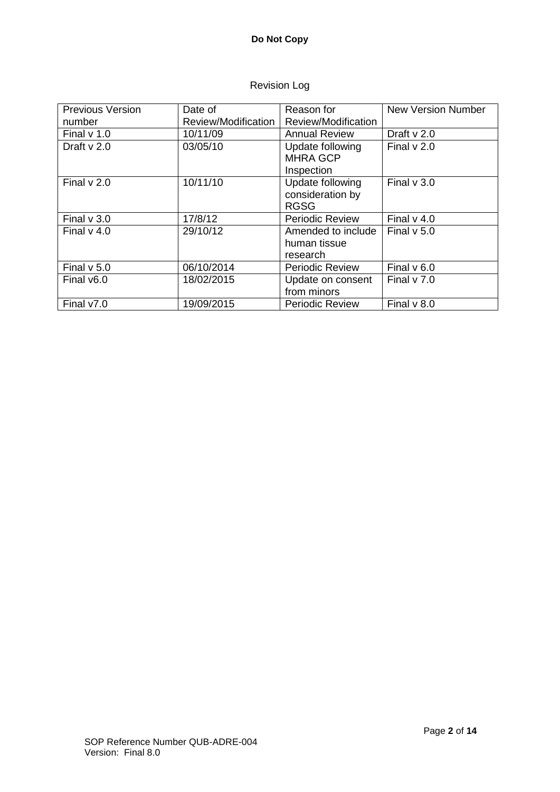# Revision Log

| <b>Previous Version</b> | Date of             | Reason for             | <b>New Version Number</b> |
|-------------------------|---------------------|------------------------|---------------------------|
| number                  | Review/Modification | Review/Modification    |                           |
| Final $v$ 1.0           | 10/11/09            | <b>Annual Review</b>   | Draft $v$ 2.0             |
| Draft $v$ 2.0           | 03/05/10            | Update following       | Final $v$ 2.0             |
|                         |                     | <b>MHRA GCP</b>        |                           |
|                         |                     | Inspection             |                           |
| Final $v$ 2.0           | 10/11/10            | Update following       | Final $v$ 3.0             |
|                         |                     | consideration by       |                           |
|                         |                     | <b>RGSG</b>            |                           |
| Final $v$ 3.0           | 17/8/12             | <b>Periodic Review</b> | Final $v$ 4.0             |
| Final $v$ 4.0           | 29/10/12            | Amended to include     | Final $v$ 5.0             |
|                         |                     | human tissue           |                           |
|                         |                     | research               |                           |
| Final $v$ 5.0           | 06/10/2014          | <b>Periodic Review</b> | Final $v$ 6.0             |
| Final v6.0              | 18/02/2015          | Update on consent      | Final $v$ 7.0             |
|                         |                     | from minors            |                           |
| Final v7.0              | 19/09/2015          | <b>Periodic Review</b> | Final $v$ 8.0             |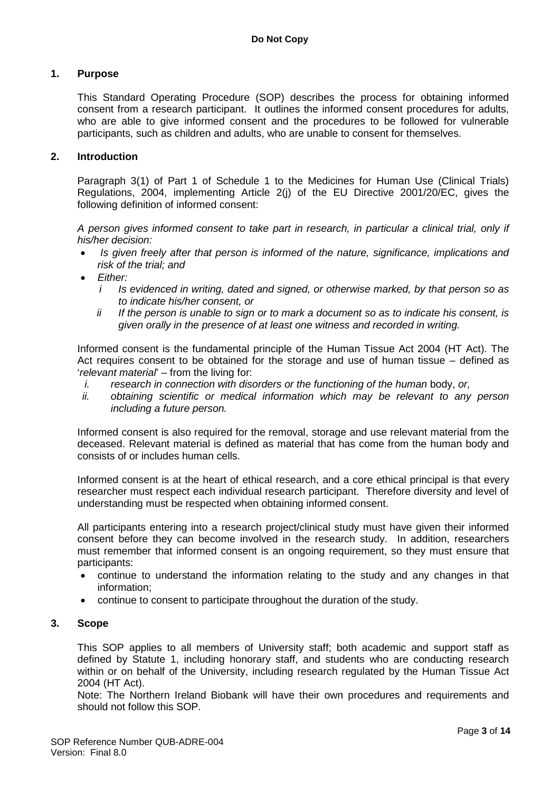#### **1. Purpose**

This Standard Operating Procedure (SOP) describes the process for obtaining informed consent from a research participant. It outlines the informed consent procedures for adults, who are able to give informed consent and the procedures to be followed for vulnerable participants, such as children and adults, who are unable to consent for themselves.

#### **2. Introduction**

Paragraph 3(1) of Part 1 of Schedule 1 to the Medicines for Human Use (Clinical Trials) Regulations, 2004, implementing Article 2(j) of the EU Directive 2001/20/EC, gives the following definition of informed consent:

*A person gives informed consent to take part in research, in particular a clinical trial, only if his/her decision:*

- *Is given freely after that person is informed of the nature, significance, implications and risk of the trial; and*
- *Either:*
	- *i Is evidenced in writing, dated and signed, or otherwise marked, by that person so as to indicate his/her consent, or*
	- *ii If the person is unable to sign or to mark a document so as to indicate his consent, is given orally in the presence of at least one witness and recorded in writing.*

Informed consent is the fundamental principle of the Human Tissue Act 2004 (HT Act). The Act requires consent to be obtained for the storage and use of human tissue – defined as '*relevant material*' – from the living for:

- *i. research in connection with disorders or the functioning of the human* body, *or,*
- *ii. obtaining scientific or medical information which may be relevant to any person including a future person.*

Informed consent is also required for the removal, storage and use relevant material from the deceased. Relevant material is defined as material that has come from the human body and consists of or includes human cells.

Informed consent is at the heart of ethical research, and a core ethical principal is that every researcher must respect each individual research participant. Therefore diversity and level of understanding must be respected when obtaining informed consent.

All participants entering into a research project/clinical study must have given their informed consent before they can become involved in the research study. In addition, researchers must remember that informed consent is an ongoing requirement, so they must ensure that participants:

- continue to understand the information relating to the study and any changes in that information;
- continue to consent to participate throughout the duration of the study.

#### **3. Scope**

This SOP applies to all members of University staff; both academic and support staff as defined by Statute 1, including honorary staff, and students who are conducting research within or on behalf of the University, including research regulated by the Human Tissue Act 2004 (HT Act).

Note: The Northern Ireland Biobank will have their own procedures and requirements and should not follow this SOP.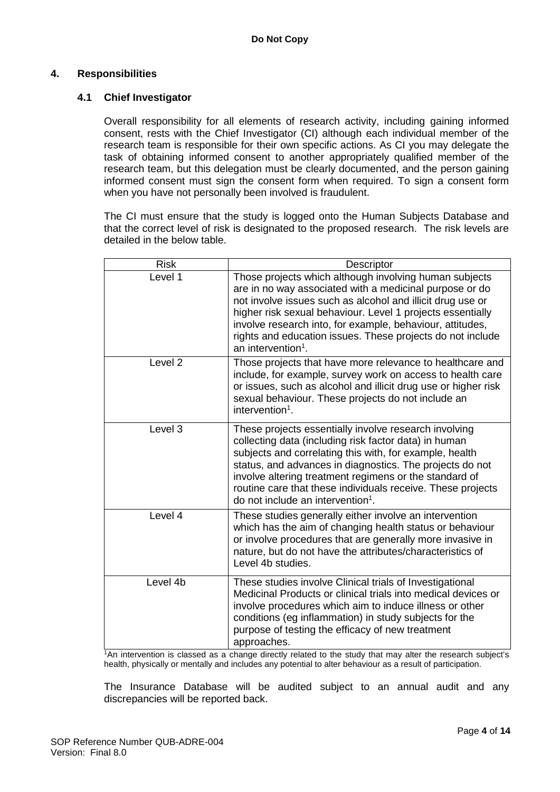## **4. Responsibilities**

## **4.1 Chief Investigator**

Overall responsibility for all elements of research activity, including gaining informed consent, rests with the Chief Investigator (CI) although each individual member of the research team is responsible for their own specific actions. As CI you may delegate the task of obtaining informed consent to another appropriately qualified member of the research team, but this delegation must be clearly documented, and the person gaining informed consent must sign the consent form when required. To sign a consent form when you have not personally been involved is fraudulent.

The CI must ensure that the study is logged onto the Human Subjects Database and that the correct level of risk is designated to the proposed research. The risk levels are detailed in the below table.

| <b>Risk</b>        | Descriptor                                                                                                                                                                                                                                                                                                                                                                                                      |
|--------------------|-----------------------------------------------------------------------------------------------------------------------------------------------------------------------------------------------------------------------------------------------------------------------------------------------------------------------------------------------------------------------------------------------------------------|
| Level 1            | Those projects which although involving human subjects<br>are in no way associated with a medicinal purpose or do<br>not involve issues such as alcohol and illicit drug use or<br>higher risk sexual behaviour. Level 1 projects essentially<br>involve research into, for example, behaviour, attitudes,<br>rights and education issues. These projects do not include<br>an intervention <sup>1</sup> .      |
| Level <sub>2</sub> | Those projects that have more relevance to healthcare and<br>include, for example, survey work on access to health care<br>or issues, such as alcohol and illicit drug use or higher risk<br>sexual behaviour. These projects do not include an<br>intervention <sup>1</sup> .                                                                                                                                  |
| Level 3            | These projects essentially involve research involving<br>collecting data (including risk factor data) in human<br>subjects and correlating this with, for example, health<br>status, and advances in diagnostics. The projects do not<br>involve altering treatment regimens or the standard of<br>routine care that these individuals receive. These projects<br>do not include an intervention <sup>1</sup> . |
| Level 4            | These studies generally either involve an intervention<br>which has the aim of changing health status or behaviour<br>or involve procedures that are generally more invasive in<br>nature, but do not have the attributes/characteristics of<br>Level 4b studies.                                                                                                                                               |
| Level 4b           | These studies involve Clinical trials of Investigational<br>Medicinal Products or clinical trials into medical devices or<br>involve procedures which aim to induce illness or other<br>conditions (eg inflammation) in study subjects for the<br>purpose of testing the efficacy of new treatment<br>approaches.                                                                                               |

1An intervention is classed as a change directly related to the study that may alter the research subject's health, physically or mentally and includes any potential to alter behaviour as a result of participation.

The Insurance Database will be audited subject to an annual audit and any discrepancies will be reported back.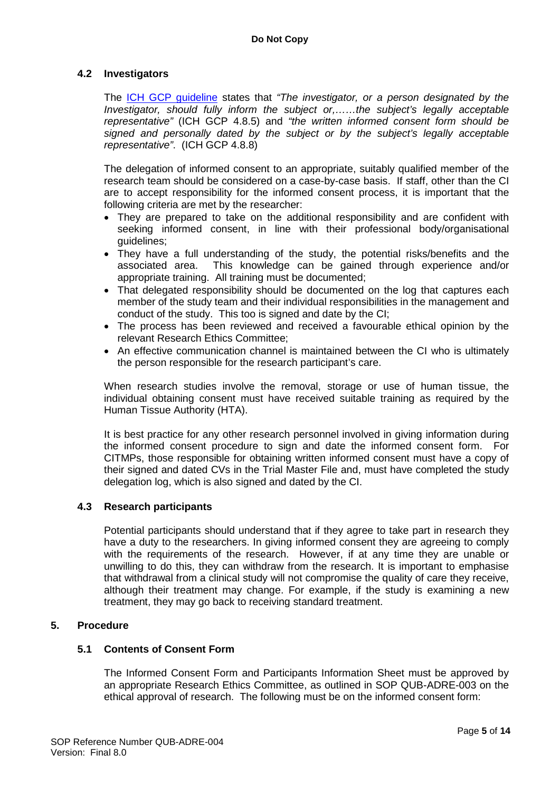## **4.2 Investigators**

The [ICH GCP guideline](http://www.ich.org/products/guidelines/efficacy/article/efficacy-guidelines.html) states that *"The investigator, or a person designated by the Investigator, should fully inform the subject or,……the subject's legally acceptable representative"* (ICH GCP 4.8.5) and *"the written informed consent form should be signed and personally dated by the subject or by the subject's legally acceptable representative"*. (ICH GCP 4.8.8)

The delegation of informed consent to an appropriate, suitably qualified member of the research team should be considered on a case-by-case basis. If staff, other than the CI are to accept responsibility for the informed consent process, it is important that the following criteria are met by the researcher:

- They are prepared to take on the additional responsibility and are confident with seeking informed consent, in line with their professional body/organisational guidelines;
- They have a full understanding of the study, the potential risks/benefits and the associated area. This knowledge can be gained through experience and/or appropriate training. All training must be documented;
- That delegated responsibility should be documented on the log that captures each member of the study team and their individual responsibilities in the management and conduct of the study. This too is signed and date by the CI;
- The process has been reviewed and received a favourable ethical opinion by the relevant Research Ethics Committee;
- An effective communication channel is maintained between the CI who is ultimately the person responsible for the research participant's care.

When research studies involve the removal, storage or use of human tissue, the individual obtaining consent must have received suitable training as required by the Human Tissue Authority (HTA).

It is best practice for any other research personnel involved in giving information during the informed consent procedure to sign and date the informed consent form. For CITMPs, those responsible for obtaining written informed consent must have a copy of their signed and dated CVs in the Trial Master File and, must have completed the study delegation log, which is also signed and dated by the CI.

## **4.3 Research participants**

Potential participants should understand that if they agree to take part in research they have a duty to the researchers. In giving informed consent they are agreeing to comply with the requirements of the research. However, if at any time they are unable or unwilling to do this, they can withdraw from the research. It is important to emphasise that withdrawal from a clinical study will not compromise the quality of care they receive, although their treatment may change. For example, if the study is examining a new treatment, they may go back to receiving standard treatment.

## **5. Procedure**

## **5.1 Contents of Consent Form**

The Informed Consent Form and Participants Information Sheet must be approved by an appropriate Research Ethics Committee, as outlined in SOP QUB-ADRE-003 on the ethical approval of research. The following must be on the informed consent form: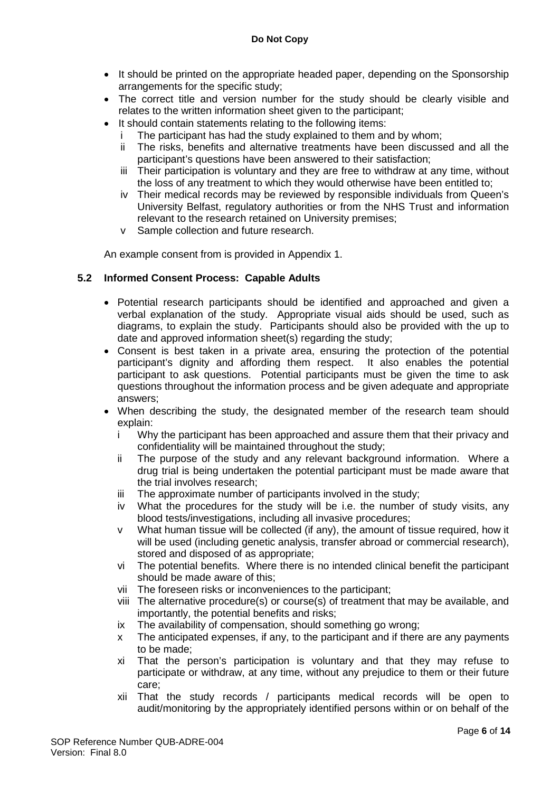- It should be printed on the appropriate headed paper, depending on the Sponsorship arrangements for the specific study;
- The correct title and version number for the study should be clearly visible and relates to the written information sheet given to the participant;
- It should contain statements relating to the following items:
	- The participant has had the study explained to them and by whom;
	- ii The risks, benefits and alternative treatments have been discussed and all the participant's questions have been answered to their satisfaction;
	- iii Their participation is voluntary and they are free to withdraw at any time, without the loss of any treatment to which they would otherwise have been entitled to;
	- iv Their medical records may be reviewed by responsible individuals from Queen's University Belfast, regulatory authorities or from the NHS Trust and information relevant to the research retained on University premises;
	- v Sample collection and future research.

An example consent from is provided in Appendix 1.

## **5.2 Informed Consent Process: Capable Adults**

- Potential research participants should be identified and approached and given a verbal explanation of the study. Appropriate visual aids should be used, such as diagrams, to explain the study. Participants should also be provided with the up to date and approved information sheet(s) regarding the study;
- Consent is best taken in a private area, ensuring the protection of the potential participant's dignity and affording them respect. It also enables the potential participant to ask questions. Potential participants must be given the time to ask questions throughout the information process and be given adequate and appropriate answers;
- When describing the study, the designated member of the research team should explain:
	- i Why the participant has been approached and assure them that their privacy and confidentiality will be maintained throughout the study;
	- ii The purpose of the study and any relevant background information. Where a drug trial is being undertaken the potential participant must be made aware that the trial involves research;
	- iii The approximate number of participants involved in the study;
	- iv What the procedures for the study will be i.e. the number of study visits, any blood tests/investigations, including all invasive procedures;
	- v What human tissue will be collected (if any), the amount of tissue required, how it will be used (including genetic analysis, transfer abroad or commercial research), stored and disposed of as appropriate;
	- vi The potential benefits. Where there is no intended clinical benefit the participant should be made aware of this;
	- vii The foreseen risks or inconveniences to the participant;
	- viii The alternative procedure(s) or course(s) of treatment that may be available, and importantly, the potential benefits and risks;
	- ix The availability of compensation, should something go wrong:
	- x The anticipated expenses, if any, to the participant and if there are any payments to be made;
	- xi That the person's participation is voluntary and that they may refuse to participate or withdraw, at any time, without any prejudice to them or their future care;
	- xii That the study records / participants medical records will be open to audit/monitoring by the appropriately identified persons within or on behalf of the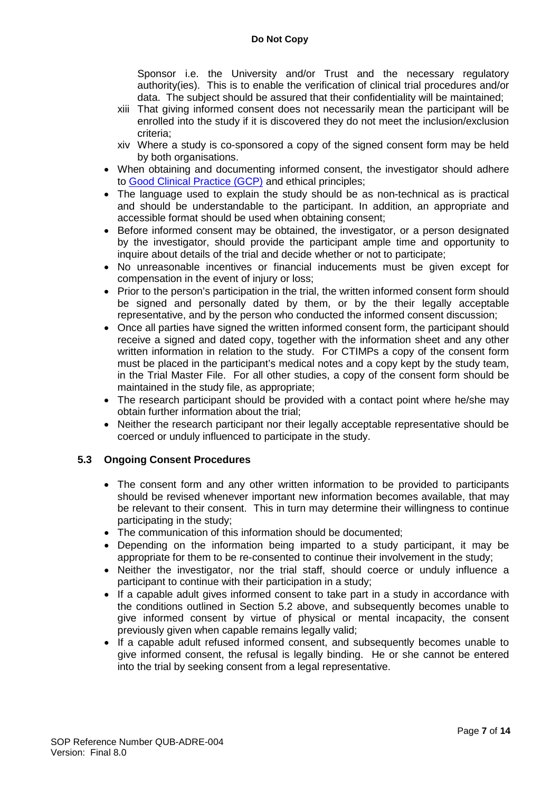Sponsor i.e. the University and/or Trust and the necessary regulatory authority(ies). This is to enable the verification of clinical trial procedures and/or data. The subject should be assured that their confidentiality will be maintained;

- xiii That giving informed consent does not necessarily mean the participant will be enrolled into the study if it is discovered they do not meet the inclusion/exclusion criteria;
- xiv Where a study is co-sponsored a copy of the signed consent form may be held by both organisations.
- When obtaining and documenting informed consent, the investigator should adhere to [Good Clinical Practice \(GCP\)](http://www.ich.org/products/guidelines/efficacy/article/efficacy-guidelines.html) and ethical principles;
- The language used to explain the study should be as non-technical as is practical and should be understandable to the participant. In addition, an appropriate and accessible format should be used when obtaining consent;
- Before informed consent may be obtained, the investigator, or a person designated by the investigator, should provide the participant ample time and opportunity to inquire about details of the trial and decide whether or not to participate;
- No unreasonable incentives or financial inducements must be given except for compensation in the event of injury or loss;
- Prior to the person's participation in the trial, the written informed consent form should be signed and personally dated by them, or by the their legally acceptable representative, and by the person who conducted the informed consent discussion;
- Once all parties have signed the written informed consent form, the participant should receive a signed and dated copy, together with the information sheet and any other written information in relation to the study. For CTIMPs a copy of the consent form must be placed in the participant's medical notes and a copy kept by the study team, in the Trial Master File. For all other studies, a copy of the consent form should be maintained in the study file, as appropriate;
- The research participant should be provided with a contact point where he/she may obtain further information about the trial;
- Neither the research participant nor their legally acceptable representative should be coerced or unduly influenced to participate in the study.

## **5.3 Ongoing Consent Procedures**

- The consent form and any other written information to be provided to participants should be revised whenever important new information becomes available, that may be relevant to their consent. This in turn may determine their willingness to continue participating in the study;
- The communication of this information should be documented:
- Depending on the information being imparted to a study participant, it may be appropriate for them to be re-consented to continue their involvement in the study;
- Neither the investigator, nor the trial staff, should coerce or unduly influence a participant to continue with their participation in a study;
- If a capable adult gives informed consent to take part in a study in accordance with the conditions outlined in Section 5.2 above, and subsequently becomes unable to give informed consent by virtue of physical or mental incapacity, the consent previously given when capable remains legally valid;
- If a capable adult refused informed consent, and subsequently becomes unable to give informed consent, the refusal is legally binding. He or she cannot be entered into the trial by seeking consent from a legal representative.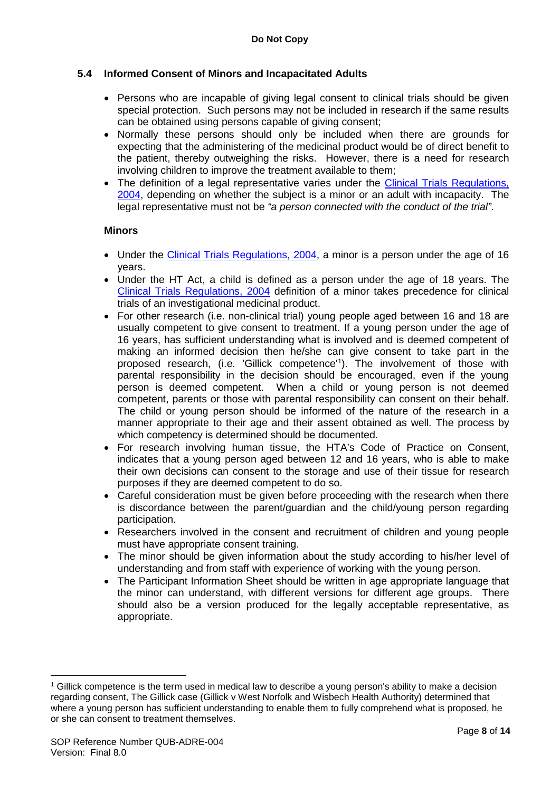## **5.4 Informed Consent of Minors and Incapacitated Adults**

- Persons who are incapable of giving legal consent to clinical trials should be given special protection. Such persons may not be included in research if the same results can be obtained using persons capable of giving consent;
- Normally these persons should only be included when there are grounds for expecting that the administering of the medicinal product would be of direct benefit to the patient, thereby outweighing the risks. However, there is a need for research involving children to improve the treatment available to them;
- The definition of a legal representative varies under the Clinical Trials Regulations, [2004,](http://www.opsi.gov.uk/si/si2004/20041031.htm) depending on whether the subject is a minor or an adult with incapacity. The legal representative must not be *"a person connected with the conduct of the trial"*.

## **Minors**

- Under the [Clinical Trials Regulations, 2004,](http://www.opsi.gov.uk/si/si2004/20041031.htm) a minor is a person under the age of 16 years.
- Under the HT Act, a child is defined as a person under the age of 18 years. The [Clinical Trials Regulations, 2004](http://www.opsi.gov.uk/si/si2004/20041031.htm) definition of a minor takes precedence for clinical trials of an investigational medicinal product.
- For other research (i.e. non-clinical trial) young people aged between 16 and 18 are usually competent to give consent to treatment. If a young person under the age of 16 years, has sufficient understanding what is involved and is deemed competent of making an informed decision then he/she can give consent to take part in the proposed research, (i.e. 'Gillick competence' [1](#page-7-0) ). The involvement of those with parental responsibility in the decision should be encouraged, even if the young person is deemed competent. When a child or young person is not deemed competent, parents or those with parental responsibility can consent on their behalf. The child or young person should be informed of the nature of the research in a manner appropriate to their age and their assent obtained as well. The process by which competency is determined should be documented.
- For research involving human tissue, the HTA's Code of Practice on Consent, indicates that a young person aged between 12 and 16 years, who is able to make their own decisions can consent to the storage and use of their tissue for research purposes if they are deemed competent to do so.
- Careful consideration must be given before proceeding with the research when there is discordance between the parent/guardian and the child/young person regarding participation.
- Researchers involved in the consent and recruitment of children and young people must have appropriate consent training.
- The minor should be given information about the study according to his/her level of understanding and from staff with experience of working with the young person.
- The Participant Information Sheet should be written in age appropriate language that the minor can understand, with different versions for different age groups. There should also be a version produced for the legally acceptable representative, as appropriate.

<u>.</u>

<span id="page-7-0"></span><sup>1</sup> Gillick competence is the term used in medical law to describe a young person's ability to make a decision regarding consent, The Gillick case (Gillick v West Norfolk and Wisbech Health Authority) determined that where a young person has sufficient understanding to enable them to fully comprehend what is proposed, he or she can consent to treatment themselves.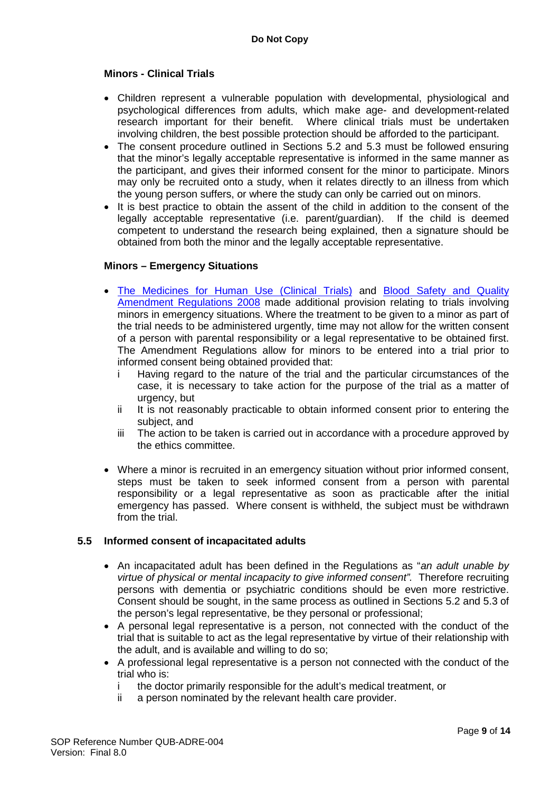#### **Minors - Clinical Trials**

- Children represent a vulnerable population with developmental, physiological and psychological differences from adults, which make age- and development-related research important for their benefit. Where clinical trials must be undertaken involving children, the best possible protection should be afforded to the participant.
- The consent procedure outlined in Sections 5.2 and 5.3 must be followed ensuring that the minor's legally acceptable representative is informed in the same manner as the participant, and gives their informed consent for the minor to participate. Minors may only be recruited onto a study, when it relates directly to an illness from which the young person suffers, or where the study can only be carried out on minors.
- It is best practice to obtain the assent of the child in addition to the consent of the legally acceptable representative (i.e. parent/guardian). If the child is deemed competent to understand the research being explained, then a signature should be obtained from both the minor and the legally acceptable representative.

#### **Minors – Emergency Situations**

- [The Medicines for Human Use \(Clinical Trials\)](http://www.opsi.gov.uk/si/si2004/20041031.htm) and [Blood Safety and Quality](http://www.opsi.gov.uk/si/si2008/uksi_20080525_en_1)  [Amendment Regulations 2008](http://www.opsi.gov.uk/si/si2008/uksi_20080525_en_1) made additional provision relating to trials involving minors in emergency situations. Where the treatment to be given to a minor as part of the trial needs to be administered urgently, time may not allow for the written consent of a person with parental responsibility or a legal representative to be obtained first. The Amendment Regulations allow for minors to be entered into a trial prior to informed consent being obtained provided that:
	- i Having regard to the nature of the trial and the particular circumstances of the case, it is necessary to take action for the purpose of the trial as a matter of urgency, but
	- ii It is not reasonably practicable to obtain informed consent prior to entering the subject, and
	- iii The action to be taken is carried out in accordance with a procedure approved by the ethics committee.
- Where a minor is recruited in an emergency situation without prior informed consent, steps must be taken to seek informed consent from a person with parental responsibility or a legal representative as soon as practicable after the initial emergency has passed. Where consent is withheld, the subject must be withdrawn from the trial.

#### **5.5 Informed consent of incapacitated adults**

- An incapacitated adult has been defined in the Regulations as "*an adult unable by virtue of physical or mental incapacity to give informed consent".* Therefore recruiting persons with dementia or psychiatric conditions should be even more restrictive. Consent should be sought, in the same process as outlined in Sections 5.2 and 5.3 of the person's legal representative, be they personal or professional;
- A personal legal representative is a person, not connected with the conduct of the trial that is suitable to act as the legal representative by virtue of their relationship with the adult, and is available and willing to do so;
- A professional legal representative is a person not connected with the conduct of the trial who is:
	- i the doctor primarily responsible for the adult's medical treatment, or
	- ii a person nominated by the relevant health care provider.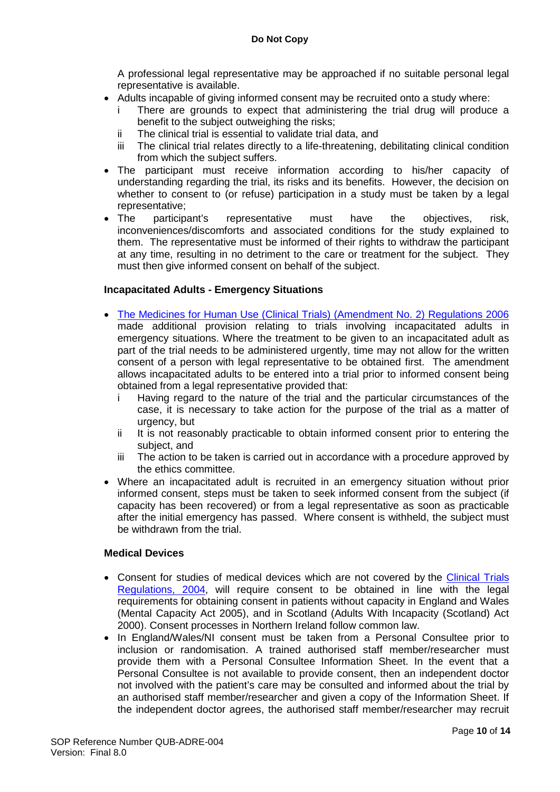A professional legal representative may be approached if no suitable personal legal representative is available.

- Adults incapable of giving informed consent may be recruited onto a study where:
	- i There are grounds to expect that administering the trial drug will produce a benefit to the subject outweighing the risks;
	- ii The clinical trial is essential to validate trial data, and
	- iii The clinical trial relates directly to a life-threatening, debilitating clinical condition from which the subject suffers.
- The participant must receive information according to his/her capacity of understanding regarding the trial, its risks and its benefits. However, the decision on whether to consent to (or refuse) participation in a study must be taken by a legal representative;
- The participant's representative must have the objectives, risk, inconveniences/discomforts and associated conditions for the study explained to them. The representative must be informed of their rights to withdraw the participant at any time, resulting in no detriment to the care or treatment for the subject. They must then give informed consent on behalf of the subject.

## **Incapacitated Adults - Emergency Situations**

- [The Medicines for Human Use \(Clinical Trials\) \(Amendment No. 2\) Regulations 2006](http://www.opsi.gov.uk/si/si2006/20062984.htm) made additional provision relating to trials involving incapacitated adults in emergency situations. Where the treatment to be given to an incapacitated adult as part of the trial needs to be administered urgently, time may not allow for the written consent of a person with legal representative to be obtained first. The amendment allows incapacitated adults to be entered into a trial prior to informed consent being obtained from a legal representative provided that:
	- i Having regard to the nature of the trial and the particular circumstances of the case, it is necessary to take action for the purpose of the trial as a matter of urgency, but
	- ii It is not reasonably practicable to obtain informed consent prior to entering the subject, and
	- iii The action to be taken is carried out in accordance with a procedure approved by the ethics committee.
- Where an incapacitated adult is recruited in an emergency situation without prior informed consent, steps must be taken to seek informed consent from the subject (if capacity has been recovered) or from a legal representative as soon as practicable after the initial emergency has passed. Where consent is withheld, the subject must be withdrawn from the trial.

## **Medical Devices**

- Consent for studies of medical devices which are not covered by the Clinical Trials [Regulations, 2004,](http://www.opsi.gov.uk/si/si2004/20041031.htm) will require consent to be obtained in line with the legal requirements for obtaining consent in patients without capacity in England and Wales (Mental Capacity Act 2005), and in Scotland (Adults With Incapacity (Scotland) Act 2000). Consent processes in Northern Ireland follow common law.
- In England/Wales/NI consent must be taken from a Personal Consultee prior to inclusion or randomisation. A trained authorised staff member/researcher must provide them with a Personal Consultee Information Sheet. In the event that a Personal Consultee is not available to provide consent, then an independent doctor not involved with the patient's care may be consulted and informed about the trial by an authorised staff member/researcher and given a copy of the Information Sheet. If the independent doctor agrees, the authorised staff member/researcher may recruit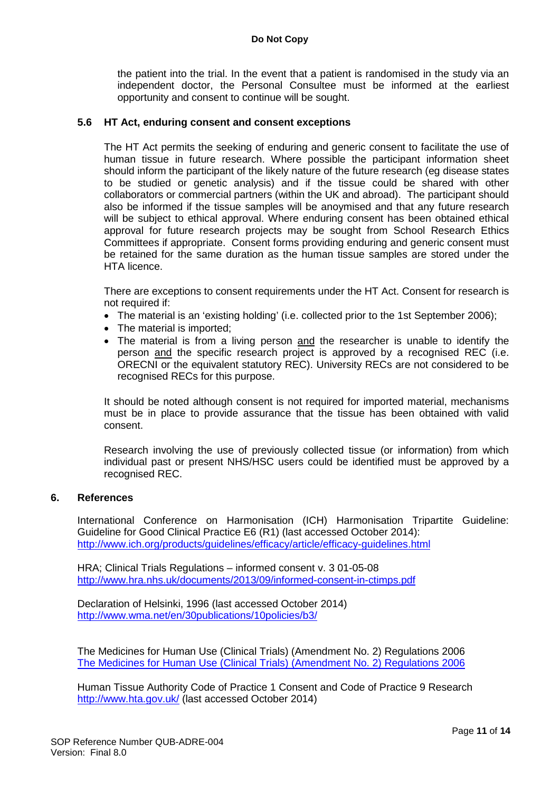the patient into the trial. In the event that a patient is randomised in the study via an independent doctor, the Personal Consultee must be informed at the earliest opportunity and consent to continue will be sought.

#### **5.6 HT Act, enduring consent and consent exceptions**

The HT Act permits the seeking of enduring and generic consent to facilitate the use of human tissue in future research. Where possible the participant information sheet should inform the participant of the likely nature of the future research (eg disease states to be studied or genetic analysis) and if the tissue could be shared with other collaborators or commercial partners (within the UK and abroad). The participant should also be informed if the tissue samples will be anoymised and that any future research will be subject to ethical approval. Where enduring consent has been obtained ethical approval for future research projects may be sought from School Research Ethics Committees if appropriate. Consent forms providing enduring and generic consent must be retained for the same duration as the human tissue samples are stored under the HTA licence.

There are exceptions to consent requirements under the HT Act. Consent for research is not required if:

- The material is an 'existing holding' (i.e. collected prior to the 1st September 2006);
- The material is imported:
- The material is from a living person and the researcher is unable to identify the person and the specific research project is approved by a recognised REC (i.e. ORECNI or the equivalent statutory REC). University RECs are not considered to be recognised RECs for this purpose.

It should be noted although consent is not required for imported material, mechanisms must be in place to provide assurance that the tissue has been obtained with valid consent.

Research involving the use of previously collected tissue (or information) from which individual past or present NHS/HSC users could be identified must be approved by a recognised REC.

#### **6. References**

International Conference on Harmonisation (ICH) Harmonisation Tripartite Guideline: Guideline for Good Clinical Practice E6 (R1) (last accessed October 2014): <http://www.ich.org/products/guidelines/efficacy/article/efficacy-guidelines.html>

HRA; Clinical Trials Regulations – informed consent v. 3 01-05-08 <http://www.hra.nhs.uk/documents/2013/09/informed-consent-in-ctimps.pdf>

Declaration of Helsinki, 1996 (last accessed October 2014) <http://www.wma.net/en/30publications/10policies/b3/>

The Medicines for Human Use (Clinical Trials) (Amendment No. 2) Regulations 2006 [The Medicines for Human Use \(Clinical Trials\) \(Amendment No. 2\) Regulations 2006](http://www.opsi.gov.uk/si/si2006/20062984.htm)

Human Tissue Authority Code of Practice 1 Consent and Code of Practice 9 Research <http://www.hta.gov.uk/> (last accessed October 2014)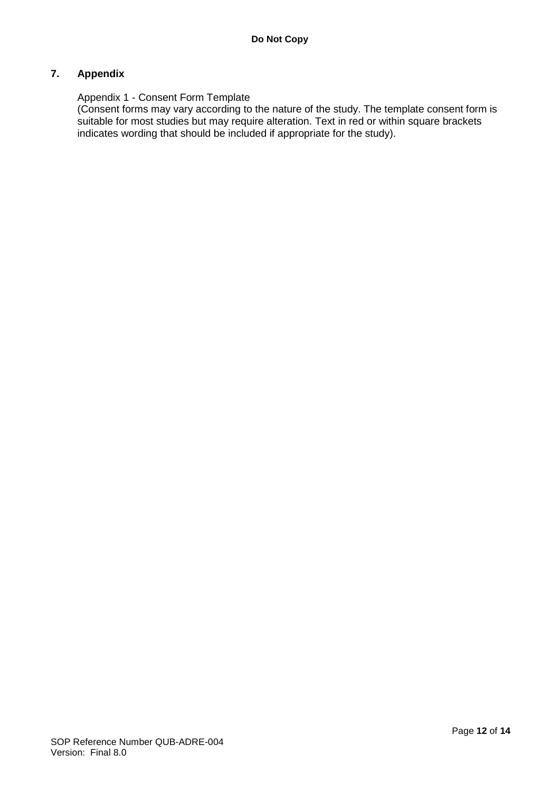## **7. Appendix**

#### Appendix 1 - Consent Form Template

(Consent forms may vary according to the nature of the study. The template consent form is suitable for most studies but may require alteration. Text in red or within square brackets indicates wording that should be included if appropriate for the study).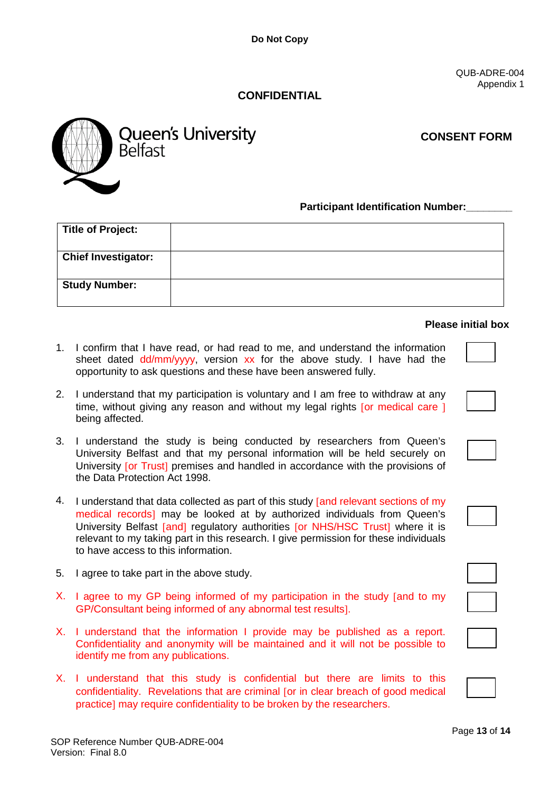QUB-ADRE-004 Appendix 1

# **CONFIDENTIAL**



**CONSENT FORM**

#### **Participant Identification Number:**

| <b>Title of Project:</b>   |  |
|----------------------------|--|
|                            |  |
| <b>Chief Investigator:</b> |  |
|                            |  |
| <b>Study Number:</b>       |  |
|                            |  |

#### **Please initial box**

- 1. I confirm that I have read, or had read to me, and understand the information sheet dated dd/mm/yyyy, version xx for the above study. I have had the opportunity to ask questions and these have been answered fully.
- 2. I understand that my participation is voluntary and I am free to withdraw at any time, without giving any reason and without my legal rights [or medical care ] being affected.
- 3. I understand the study is being conducted by researchers from Queen's University Belfast and that my personal information will be held securely on University [or Trust] premises and handled in accordance with the provisions of the Data Protection Act 1998.
- 4. I understand that data collected as part of this study [and relevant sections of my medical records] may be looked at by authorized individuals from Queen's University Belfast [and] regulatory authorities [or NHS/HSC Trust] where it is relevant to my taking part in this research. I give permission for these individuals to have access to this information.
- 5. I agree to take part in the above study.
- X. I agree to my GP being informed of my participation in the study [and to my GP/Consultant being informed of any abnormal test results].
- X. I understand that the information I provide may be published as a report. Confidentiality and anonymity will be maintained and it will not be possible to identify me from any publications.
- X. I understand that this study is confidential but there are limits to this confidentiality. Revelations that are criminal [or in clear breach of good medical practice] may require confidentiality to be broken by the researchers.